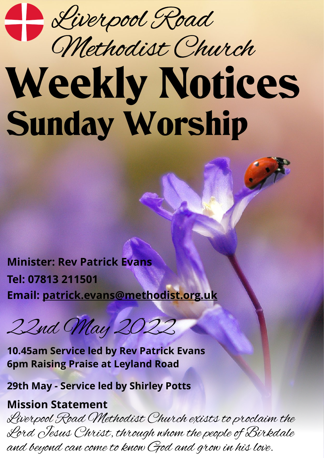

## Weekly Notices Sunday Worship Methodist Church

**Minister: Rev Patrick Evans Tel: 07813 211501 Email: [patrick.evans@methodist.org.uk](mailto:patrick.evans@methodist.org.uk)**

22nd May 2022

**10.45am Service led by Rev Patrick Evans 6pm Raising Praise at Leyland Road**

**29th May - Service led by Shirley Potts**

## **Mission Statement**

Liverpool Road Methodist Church exists to proclaim the Lord Jesus Christ, through whom the people of Birkdale and beyond can come to know God and grow in his love.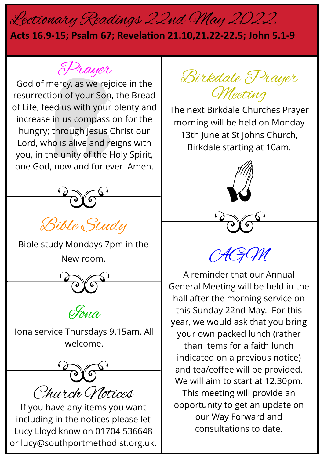## Lectionary Readings 22nd May 2022

## **Acts 16.9-15; Psalm 67; Revelation 21.10,21.22-22.5; John 5.1-9**

Prayer

God of mercy, as we rejoice in the resurrection of your Son, the Bread of Life, feed us with your plenty and increase in us compassion for the hungry; through Jesus Christ our Lord, who is alive and reigns with you, in the unity of the Holy Spirit, one God, now and for ever. Amen.



Bible Study

Bible study Mondays 7pm in the New room.





Iona service Thursdays 9.15am. All welcome.



If you have any items you want including in the notices please let Lucy Lloyd know on 01704 536648 or lucy@southportmethodist.org.uk.

Birkdale Prayer Meeting

The next Birkdale Churches Prayer morning will be held on Monday 13th June at St Johns Church, Birkdale starting at 10am.



AGM

A reminder that our Annual General Meeting will be held in the hall after the morning service on this Sunday 22nd May. For this year, we would ask that you bring your own packed lunch (rather than items for a faith lunch indicated on a previous notice) and tea/coffee will be provided. We will aim to start at 12.30pm. This meeting will provide an opportunity to get an update on our Way Forward and consultations to date.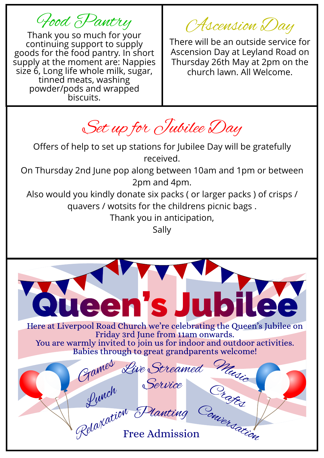Food Pantry

Thank you so much for your continuing support to supply goods for the food pantry. In short supply at the moment are: Nappies size 6, Long life whole milk, sugar, tinned meats, washing powder/pods and wrapped biscuits.

Ascension Day

There will be an outside service for Ascension Day at Leyland Road on Thursday 26th May at 2pm on the church lawn. All Welcome.

Set up for Jubilee Day

Offers of help to set up stations for Jubilee Day will be gratefully received.

On Thursday 2nd June pop along between 10am and 1pm or between 2pm and 4pm.

Also would you kindly donate six packs ( or larger packs ) of crisps / quavers / wotsits for the childrens picnic bags .

Thank you in anticipation,

Sally